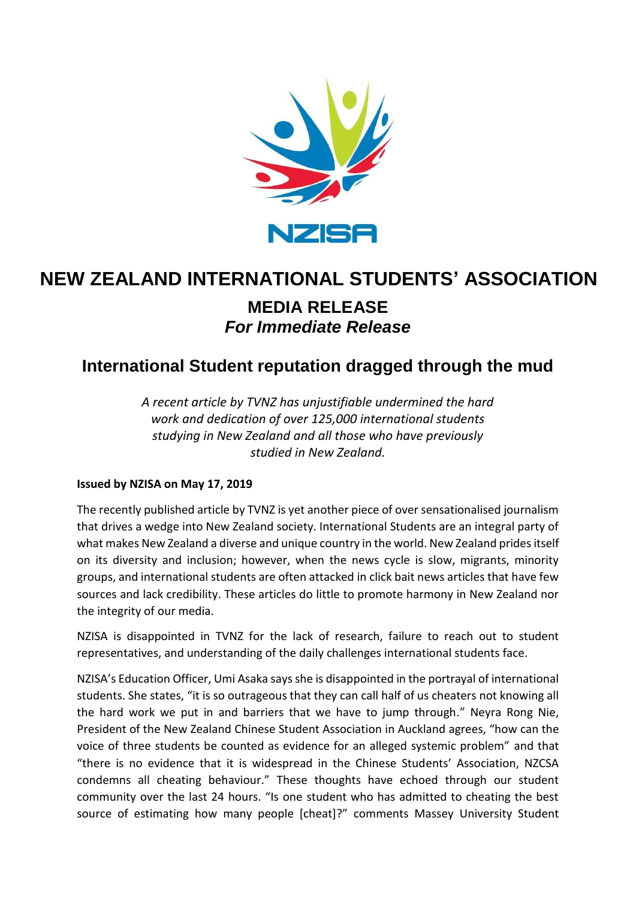

# **MEDIA RELEASE** *For Immediate Release* **NEW ZEALAND INTERNATIONAL STUDENTS' ASSOCIATION**

## **International Student reputation dragged through the mud**

*A recent article by TVNZ has unjustifiable undermined the hard work and dedication of over 125,000 international students studying in New Zealand and all those who have previously studied in New Zealand.* 

### **Issued by NZISA on May 17, 2019**

The recently published article by TVNZ is yet another piece of over sensationalised journalism that drives a wedge into New Zealand society. International Students are an integral party of what makes New Zealand a diverse and unique country in the world. New Zealand prides itself on its diversity and inclusion; however, when the news cycle is slow, migrants, minority groups, and international students are often attacked in click bait news articles that have few sources and lack credibility. These articles do little to promote harmony in New Zealand nor the integrity of our media.

NZISA is disappointed in TVNZ for the lack of research, failure to reach out to student representatives, and understanding of the daily challenges international students face.

NZISA's Education Officer, Umi Asaka says she is disappointed in the portrayal of international students. She states, "it is so outrageous that they can call half of us cheaters not knowing all the hard work we put in and barriers that we have to jump through." Neyra Rong Nie, President of the New Zealand Chinese Student Association in Auckland agrees, "how can the voice of three students be counted as evidence for an alleged systemic problem" and that "there is no evidence that it is widespread in the Chinese Students' Association, NZCSA condemns all cheating behaviour." These thoughts have echoed through our student community over the last 24 hours. "Is one student who has admitted to cheating the best source of estimating how many people [cheat]?" comments Massey University Student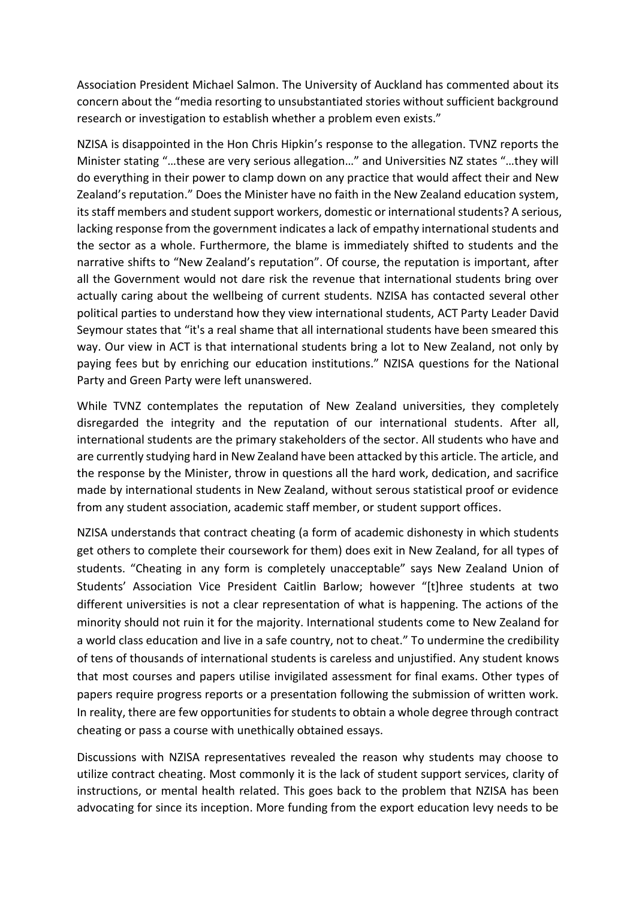Association President Michael Salmon. The University of Auckland has commented about its concern about the "media resorting to unsubstantiated stories without sufficient background research or investigation to establish whether a problem even exists."

NZISA is disappointed in the Hon Chris Hipkin's response to the allegation. TVNZ reports the Minister stating "…these are very serious allegation…" and Universities NZ states "…they will do everything in their power to clamp down on any practice that would affect their and New Zealand's reputation." Does the Minister have no faith in the New Zealand education system, its staff members and student support workers, domestic or international students? A serious, lacking response from the government indicates a lack of empathy international students and the sector as a whole. Furthermore, the blame is immediately shifted to students and the narrative shifts to "New Zealand's reputation". Of course, the reputation is important, after all the Government would not dare risk the revenue that international students bring over actually caring about the wellbeing of current students. NZISA has contacted several other political parties to understand how they view international students, ACT Party Leader David Seymour states that "it's a real shame that all international students have been smeared this way. Our view in ACT is that international students bring a lot to New Zealand, not only by paying fees but by enriching our education institutions." NZISA questions for the National Party and Green Party were left unanswered.

While TVNZ contemplates the reputation of New Zealand universities, they completely disregarded the integrity and the reputation of our international students. After all, international students are the primary stakeholders of the sector. All students who have and are currently studying hard in New Zealand have been attacked by this article. The article, and the response by the Minister, throw in questions all the hard work, dedication, and sacrifice made by international students in New Zealand, without serous statistical proof or evidence from any student association, academic staff member, or student support offices.

NZISA understands that contract cheating (a form of academic dishonesty in which students get others to complete their coursework for them) does exit in New Zealand, for all types of students. "Cheating in any form is completely unacceptable" says New Zealand Union of Students' Association Vice President Caitlin Barlow; however "[t]hree students at two different universities is not a clear representation of what is happening. The actions of the minority should not ruin it for the majority. International students come to New Zealand for a world class education and live in a safe country, not to cheat." To undermine the credibility of tens of thousands of international students is careless and unjustified. Any student knows that most courses and papers utilise invigilated assessment for final exams. Other types of papers require progress reports or a presentation following the submission of written work. In reality, there are few opportunities for students to obtain a whole degree through contract cheating or pass a course with unethically obtained essays.

Discussions with NZISA representatives revealed the reason why students may choose to utilize contract cheating. Most commonly it is the lack of student support services, clarity of instructions, or mental health related. This goes back to the problem that NZISA has been advocating for since its inception. More funding from the export education levy needs to be